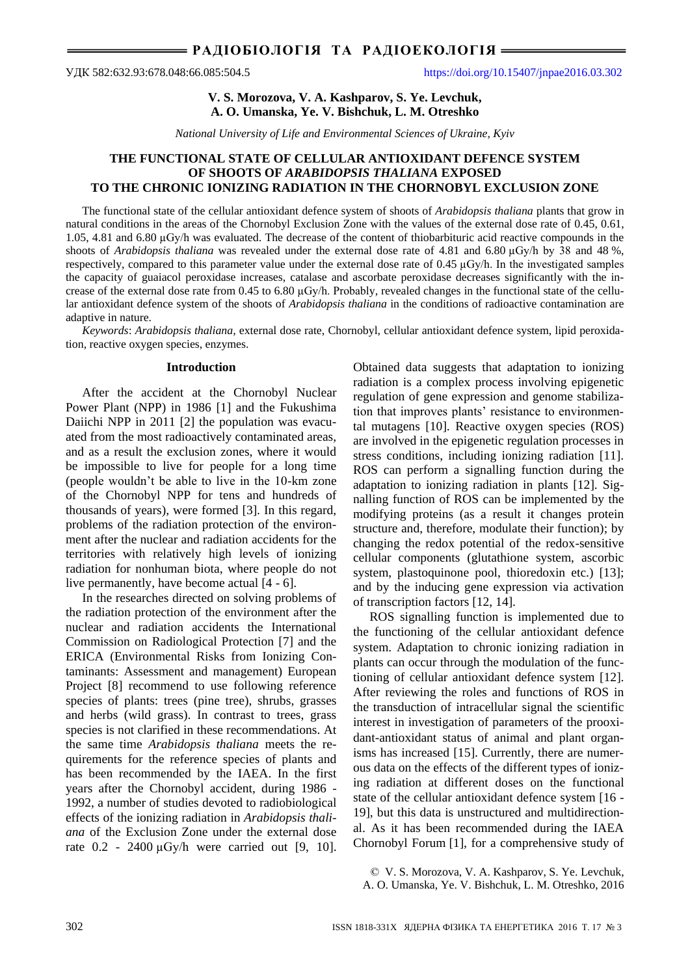# **V. S. Morozova, V. A. Kashparov, S. Ye. Levchuk, A. O. Umanska, Ye. V. Bishchuk, L. M. Otreshko**

*National University of Life and Environmental Sciences of Ukraine, Kyiv*

# **THE FUNCTIONAL STATE OF CELLULAR ANTIOXIDANT DEFENCE SYSTEM OF SHOOTS OF** *ARABIDOPSIS THALIANA* **EXPOSED TO THE CHRONIC IONIZING RADIATION IN THE CHORNOBYL EXCLUSION ZONE**

The functional state of the cellular antioxidant defence system of shoots of *Arabidopsis thaliana* plants that grow in natural conditions in the areas of the Chornobyl Exclusion Zone with the values of the external dose rate of 0.45, 0.61, 1.05, 4.81 and 6.80 µGy/h was evaluated. The decrease of the content of thiobarbituric acid reactive compounds in the shoots of *Arabidopsis thaliana* was revealed under the external dose rate of 4.81 and 6.80 µGy/h by 38 and 48 %, respectively, compared to this parameter value under the external dose rate of 0.45 µGy/h. In the investigated samples the capacity of guaiacol peroxidase increases, catalase and ascorbate peroxidase decreases significantly with the increase of the external dose rate from 0.45 to 6.80 µGy/h. Probably, revealed changes in the functional state of the cellular antioxidant defence system of the shoots of *Arabidopsis thaliana* in the conditions of radioactive contamination are adaptive in nature.

*Keywords*: *Arabidopsis thaliana*, external dose rate, Chornobyl, cellular antioxidant defence system, lipid peroxidation, reactive oxygen species, enzymes.

## **Introduction**

After the accident at the Chornobyl Nuclear Power Plant (NPP) in 1986 [1] and the Fukushima Daiichi NPP in 2011 [2] the population was evacuated from the most radioactively contaminated areas, and as a result the exclusion zones, where it would be impossible to live for people for a long time (people wouldn't be able to live in the 10-km zone of the Chornobyl NPP for tens and hundreds of thousands of years), were formed [3]. In this regard, problems of the radiation protection of the environment after the nuclear and radiation accidents for the territories with relatively high levels of ionizing radiation for nonhuman biota, where people do not live permanently, have become actual [4 - 6].

In the researches directed on solving problems of the radiation protection of the environment after the nuclear and radiation accidents the International Commission on Radiological Protection [7] and the ERICA (Environmental Risks from Ionizing Contaminants: Assessment and management) European Project [8] recommend to use following reference species of plants: trees (pine tree), shrubs, grasses and herbs (wild grass). In contrast to trees, grass species is not clarified in these recommendations. At the same time *Arabidopsis thaliana* meets the requirements for the reference species of plants and has been recommended by the IAEA. In the first years after the Chornobyl accident, during 1986 - 1992, a number of studies devoted to radiobiological effects of the ionizing radiation in *Arabidopsis thaliana* of the Exclusion Zone under the external dose rate 0.2 - 2400 µGy/h were carried out [9, 10].

Obtained data suggests that adaptation to ionizing radiation is a complex process involving epigenetic regulation of gene expression and genome stabilization that improves plants' resistance to environmental mutagens [10]. Reactive oxygen species (ROS) are involved in the epigenetic regulation processes in stress conditions, including ionizing radiation [11]. ROS can perform a signalling function during the adaptation to ionizing radiation in plants [12]. Signalling function of ROS can be implemented by the modifying proteins (as a result it changes protein structure and, therefore, modulate their function); by changing the redox potential of the redox-sensitive cellular components (glutathione system, ascorbic system, plastoquinone pool, thioredoxin etc.) [13]; and by the inducing gene expression via activation of transcription factors [12, 14].

ROS signalling function is implemented due to the functioning of the cellular antioxidant defence system. Adaptation to chronic ionizing radiation in plants can occur through the modulation of the functioning of cellular antioxidant defence system [12]. After reviewing the roles and functions of ROS in the transduction of intracellular signal the scientific interest in investigation of parameters of the prooxidant-antioxidant status of animal and plant organisms has increased [15]. Currently, there are numerous data on the effects of the different types of ionizing radiation at different doses on the functional state of the cellular antioxidant defence system [16 - 19], but this data is unstructured and multidirectional. As it has been recommended during the IAEA Chornobyl Forum [1], for a comprehensive study of

© V. S. Morozova, V. A. Kashparov, S. Ye. Levchuk, A. O. Umanska, Ye. V. Bishchuk, L. M. Otreshko, 2016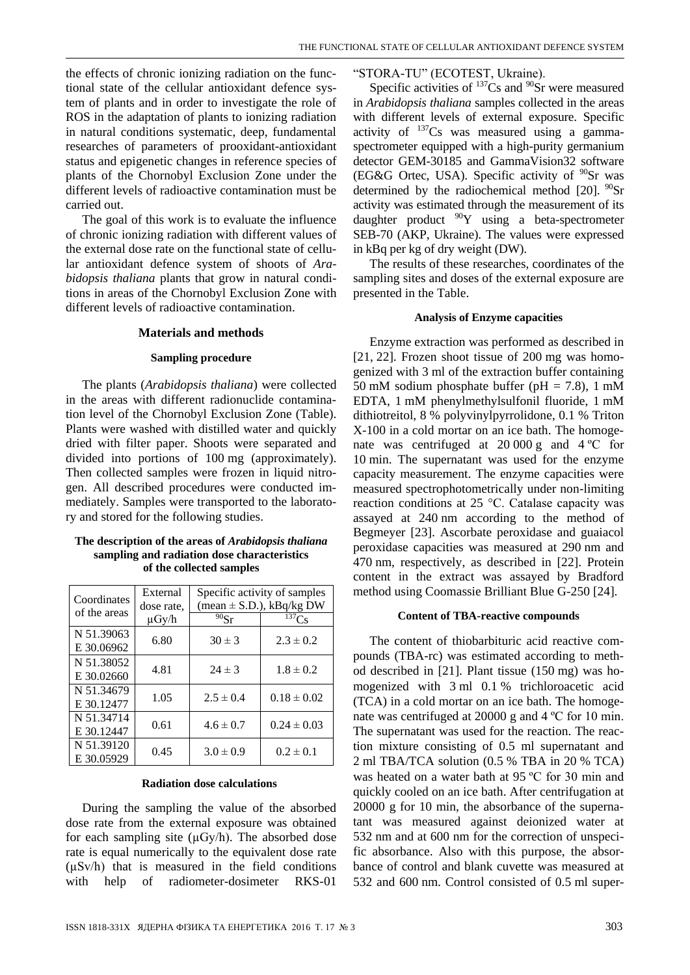the effects of chronic ionizing radiation on the functional state of the cellular antioxidant defence system of plants and in order to investigate the role of ROS in the adaptation of plants to ionizing radiation in natural conditions systematic, deep, fundamental researches of parameters of prooxidant-antioxidant status and epigenetic changes in reference species of plants of the Chornobyl Exclusion Zone under the different levels of radioactive contamination must be carried out.

The goal of this work is to evaluate the influence of chronic ionizing radiation with different values of the external dose rate on the functional state of cellular antioxidant defence system of shoots of *Arabidopsis thaliana* plants that grow in natural conditions in areas of the Chornobyl Exclusion Zone with different levels of radioactive contamination.

### **Materials and methods**

#### **Sampling procedure**

The plants (*Arabidopsis thaliana*) were collected in the areas with different radionuclide contamination level of the Chornobyl Exclusion Zone (Table). Plants were washed with distilled water and quickly dried with filter paper. Shoots were separated and divided into portions of 100 mg (approximately). Then collected samples were frozen in liquid nitrogen. All described procedures were conducted immediately. Samples were transported to the laboratory and stored for the following studies.

## **The description of the areas of** *Arabidopsis thaliana* **sampling and radiation dose characteristics of the collected samples**

| Coordinates<br>of the areas | External<br>dose rate. | Specific activity of samples<br>$(\text{mean} \pm \text{S.D.}), \text{kBq/kg DW}$ |                 |
|-----------------------------|------------------------|-----------------------------------------------------------------------------------|-----------------|
|                             | $\mu$ Gy/h             | 90Sr                                                                              | $137C_S$        |
| N 51.39063<br>E 30.06962    | 6.80                   | $30 \pm 3$                                                                        | $2.3 \pm 0.2$   |
| N 51.38052<br>E 30.02660    | 4.81                   | $24 \pm 3$                                                                        | $1.8 \pm 0.2$   |
| N 51.34679<br>E 30.12477    | 1.05                   | $2.5 \pm 0.4$                                                                     | $0.18 \pm 0.02$ |
| N 51.34714<br>E 30.12447    | 0.61                   | $4.6 \pm 0.7$                                                                     | $0.24 \pm 0.03$ |
| N 51.39120<br>E 30.05929    | 0.45                   | $3.0 \pm 0.9$                                                                     | $0.2 \pm 0.1$   |

## **Radiation dose calculations**

During the sampling the value of the absorbed dose rate from the external exposure was obtained for each sampling site  $(\mu Gy/h)$ . The absorbed dose rate is equal numerically to the equivalent dose rate  $(\mu Sv/h)$  that is measured in the field conditions with help of radiometer-dosimeter RKS-01

## "STORA-TU" (ECOTEST, Ukraine).

Specific activities of  $137Cs$  and  $90Sr$  were measured in *Arabidopsis thaliana* samples collected in the areas with different levels of external exposure. Specific activity of  $137Cs$  was measured using a gammaspectrometer equipped with a high-purity germanium detector GEM-30185 and GammaVision32 software (EG&G Ortec, USA). Specific activity of  $90$ Sr was determined by the radiochemical method [20].  $^{90}Sr$ activity was estimated through the measurement of its daughter product  $90Y$  using a beta-spectrometer SEB-70 (AKP, Ukraine). The values were expressed in kBq per kg of dry weight (DW).

The results of these researches, coordinates of the sampling sites and doses of the external exposure are presented in the Table.

#### **Analysis of Enzyme capacities**

Enzyme extraction was performed as described in [21, 22]. Frozen shoot tissue of 200 mg was homogenized with 3 ml of the extraction buffer containing 50 mM sodium phosphate buffer ( $pH = 7.8$ ), 1 mM EDTA, 1 mM phenylmethylsulfonil fluoride, 1 mM dithiotreitol, 8 % polyvinylpyrrolidone, 0.1 % Triton X-100 in a cold mortar on an ice bath. The homogenate was centrifuged at 20 000 g and 4 ºC for 10 min. The supernatant was used for the enzyme capacity measurement. The enzyme capacities were measured spectrophotometrically under non-limiting reaction conditions at 25 °C. Catalase capacity was assayed at 240 nm according to the method of Begmeyer [23]. Ascorbate peroxidase and guaiacol peroxidase capacities was measured at 290 nm and 470 nm, respectively, as described in [22]. Protein content in the extract was assayed by Bradford method using Coomassie Brilliant Blue G-250 [24].

#### **Content of TBA-reactive compounds**

The content of thiobarbituric acid reactive compounds (TBA-rc) was estimated according to method described in [21]. Plant tissue (150 mg) was homogenized with 3 ml 0.1 % trichloroacetic acid (TCA) in a cold mortar on an ice bath. The homogenate was centrifuged at 20000 g and 4 ºC for 10 min. The supernatant was used for the reaction. The reaction mixture consisting of 0.5 ml supernatant and 2 ml TBA/TCA solution (0.5 % TBA in 20 % TCA) was heated on a water bath at 95 ºC for 30 min and quickly cooled on an ice bath. After centrifugation at 20000 g for 10 min, the absorbance of the supernatant was measured against deionized water at 532 nm and at 600 nm for the correction of unspecific absorbance. Also with this purpose, the absorbance of control and blank cuvette was measured at 532 and 600 nm. Control consisted of 0.5 ml super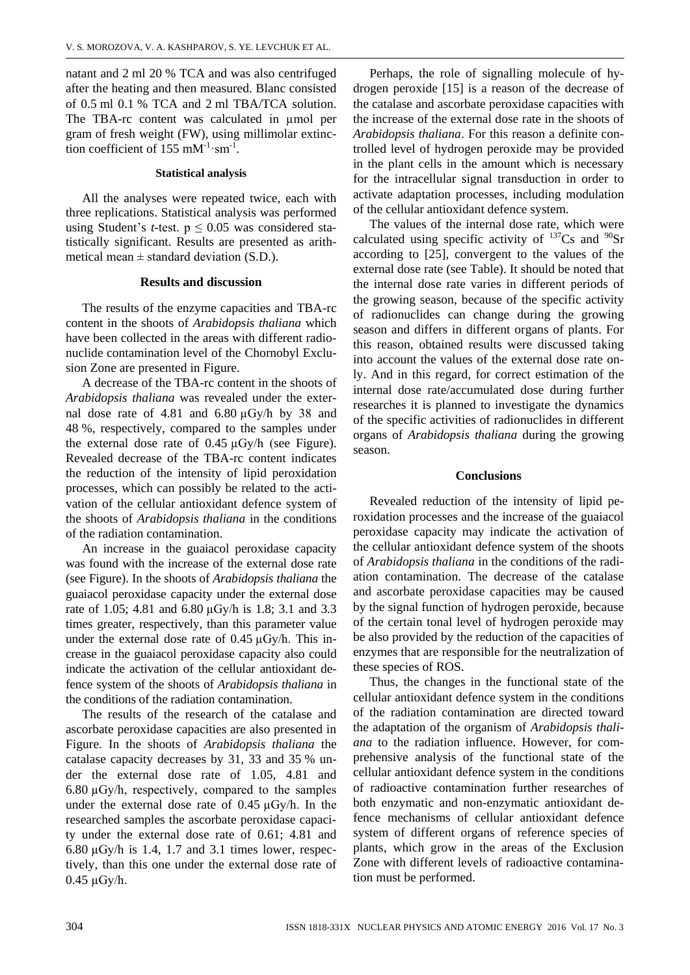natant and 2 ml 20 % TCA and was also centrifuged after the heating and then measured. Blanc consisted of 0.5 ml 0.1 % TCA and 2 ml TBA/TCA solution. The TBA-rc content was calculated in umol per gram of fresh weight (FW), using millimolar extinction coefficient of  $155 \text{ mM}^{-1} \cdot \text{sm}^{-1}$ .

## **Statistical analysis**

All the analyses were repeated twice, each with three replications. Statistical analysis was performed using Student's *t*-test.  $p \le 0.05$  was considered statistically significant. Results are presented as arithmetical mean  $\pm$  standard deviation (S.D.).

## **Results and discussion**

The results of the enzyme capacities and TBA-rc content in the shoots of *Arabidopsis thaliana* which have been collected in the areas with different radionuclide contamination level of the Chornobyl Exclusion Zone are presented in Figure.

A decrease of the TBA-rc content in the shoots of *Arabidopsis thaliana* was revealed under the external dose rate of 4.81 and 6.80 µGy/h by 38 and 48 %, respectively, compared to the samples under the external dose rate of 0.45 µGy/h (see Figure). Revealed decrease of the TBA-rc content indicates the reduction of the intensity of lipid peroxidation processes, which can possibly be related to the activation of the cellular antioxidant defence system of the shoots of *Arabidopsis thaliana* in the conditions of the radiation contamination.

An increase in the guaiacol peroxidase capacity was found with the increase of the external dose rate (see Figure). In the shoots of *Arabidopsis thaliana* the guaiacol peroxidase capacity under the external dose rate of 1.05; 4.81 and 6.80 µGy/h is 1.8; 3.1 and 3.3 times greater, respectively, than this parameter value under the external dose rate of 0.45 µGy/h. This increase in the guaiacol peroxidase capacity also could indicate the activation of the cellular antioxidant defence system of the shoots of *Arabidopsis thaliana* in the conditions of the radiation contamination.

The results of the research of the catalase and ascorbate peroxidase capacities are also presented in Figure. In the shoots of *Arabidopsis thaliana* the catalase capacity decreases by 31, 33 and 35 % under the external dose rate of 1.05, 4.81 and  $6.80 \mu$ Gy/h, respectively, compared to the samples under the external dose rate of 0.45 µGy/h. In the researched samples the ascorbate peroxidase capacity under the external dose rate of 0.61; 4.81 and 6.80  $\mu$ Gy/h is 1.4, 1.7 and 3.1 times lower, respectively, than this one under the external dose rate of  $0.45 \mu Gy/h$ .

Perhaps, the role of signalling molecule of hydrogen peroxide [15] is a reason of the decrease of the catalase and ascorbate peroxidase capacities with the increase of the external dose rate in the shoots of *Arabidopsis thaliana*. For this reason a definite controlled level of hydrogen peroxide may be provided in the plant cells in the amount which is necessary for the intracellular signal transduction in order to activate adaptation processes, including modulation of the cellular antioxidant defence system.

The values of the internal dose rate, which were calculated using specific activity of  $137Cs$  and  $90Sr$ according to [25], convergent to the values of the external dose rate (see Table). It should be noted that the internal dose rate varies in different periods of the growing season, because of the specific activity of radionuclides can change during the growing season and differs in different organs of plants. For this reason, obtained results were discussed taking into account the values of the external dose rate only. And in this regard, for correct estimation of the internal dose rate/accumulated dose during further researches it is planned to investigate the dynamics of the specific activities of radionuclides in different organs of *Arabidopsis thaliana* during the growing season.

# **Conclusions**

Revealed reduction of the intensity of lipid peroxidation processes and the increase of the guaiacol peroxidase capacity may indicate the activation of the cellular antioxidant defence system of the shoots of *Arabidopsis thaliana* in the conditions of the radiation contamination. The decrease of the catalase and ascorbate peroxidase capacities may be caused by the signal function of hydrogen peroxide, because of the certain tonal level of hydrogen peroxide may be also provided by the reduction of the capacities of enzymes that are responsible for the neutralization of these species of ROS.

Thus, the changes in the functional state of the cellular antioxidant defence system in the conditions of the radiation contamination are directed toward the adaptation of the organism of *Arabidopsis thaliana* to the radiation influence. However, for comprehensive analysis of the functional state of the cellular antioxidant defence system in the conditions of radioactive contamination further researches of both enzymatic and non-enzymatic antioxidant defence mechanisms of cellular antioxidant defence system of different organs of reference species of plants, which grow in the areas of the Exclusion Zone with different levels of radioactive contamination must be performed.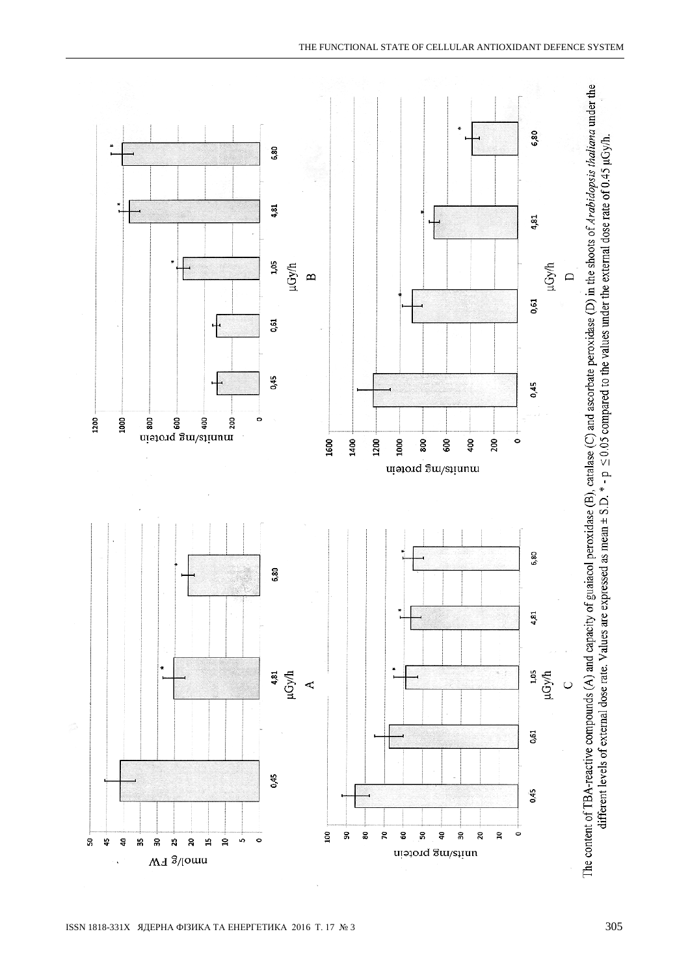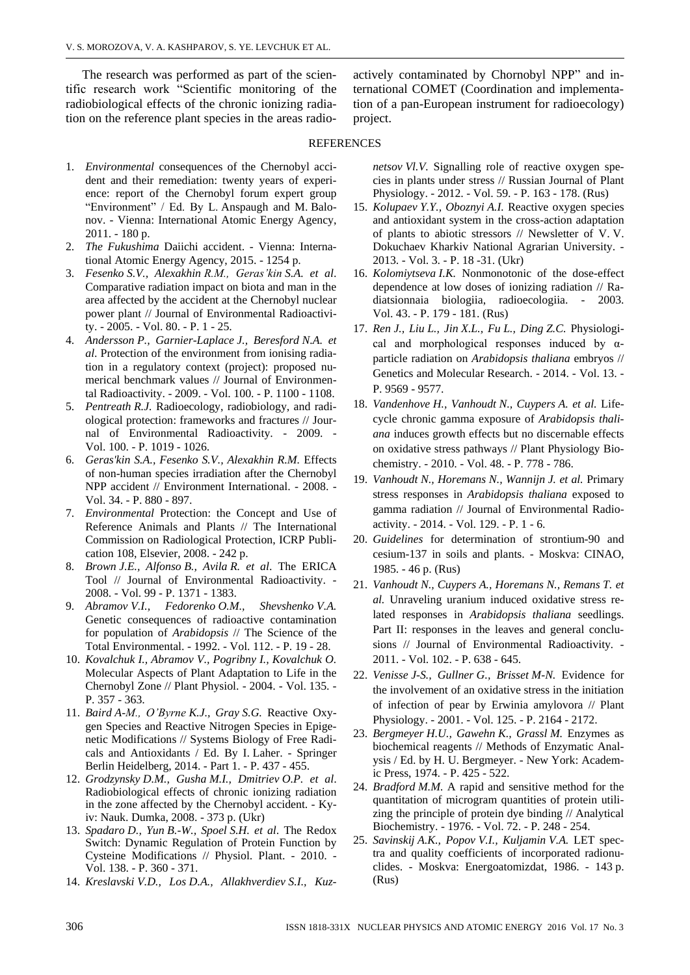The research was performed as part of the scientific research work "Scientific monitoring of the radiobiological effects of the chronic ionizing radiation on the reference plant species in the areas radioactively contaminated by Chornobyl NPP" and international COMET (Coordination and implementation of a pan-European instrument for radioecology) project.

## REFERENCES

- 1. *Environmental* consequences of the Chernobyl accident and their remediation: twenty years of experience: report of the Chernobyl forum expert group "Environment" / Ed. By L. Anspaugh and M. Balonov. - Vienna: International Atomic Energy Agency, 2011. - 180 p.
- 2. *The Fukushima* Daiichi accident. Vienna: International Atomic Energy Agency, 2015. - 1254 p.
- 3. *Fesenko S.V., Alexakhin R.M., Geras'kin S.A. et al*. Comparative radiation impact on biota and man in the area affected by the accident at the Chernobyl nuclear power plant // Journal of Environmental Radioactivity. - 2005. - Vol. 80. - P. 1 - 25.
- 4. *Andersson P., Garnier-Laplace J., Beresford N.A. et al*. Protection of the environment from ionising radiation in a regulatory context (project): proposed numerical benchmark values // Journal of Environmental Radioactivity. - 2009. - Vol. 100. - P. 1100 - 1108.
- 5. *Pentreath R.J.* Radioecology, radiobiology, and radiological protection: frameworks and fractures // Journal of Environmental Radioactivity. - 2009. - Vol. 100. - P. 1019 - 1026.
- 6. *Geras'kin S.A., Fesenko S.V., Alexakhin R.M.* Effects of non-human species irradiation after the Chernobyl NPP accident // Environment International. - 2008. - Vol. 34. - P. 880 - 897.
- 7. *Environmental* Protection: the Concept and Use of Reference Animals and Plants // The International Commission on Radiological Protection, ICRP Publication 108, Elsevier, 2008. - 242 p.
- 8. *Brown J.E., Alfonso B., Avila R. et al*. The ERICA Tool // Journal of Environmental Radioactivity. - 2008. - Vol. 99 - P. 1371 - 1383.
- 9. *Abramov V.I., Fedorenko O.M., Shevshenko V.A.*  Genetic consequences of radioactive contamination for population of *Arabidopsis* // The Science of the Total Environmental. - 1992. - Vol. 112. - P. 19 - 28.
- 10. *Kovalchuk I., Abramov V., Pogribny I., Kovalchuk O.* Molecular Aspects of Plant Adaptation to Life in the Chernobyl Zone // Plant Physiol. - 2004. - Vol. 135. - P. 357 - 363.
- 11. *Baird A-M., O'Byrne K.J., Gray S.G.* Reactive Oxygen Species and Reactive Nitrogen Species in Epigenetic Modifications // Systems Biology of Free Radicals and Antioxidants / Ed. By I. Laher. - Springer Berlin Heidelberg, 2014. - Part 1. - P. 437 - 455.
- 12. *Grodzynsky D.M., Gusha M.I., Dmitriev O.P. et al*. Radiobiological effects of chronic ionizing radiation in the zone affected by the Chernobyl accident. - Kyiv: Nauk. Dumka, 2008. - 373 p. (Ukr)
- 13. *Spadaro D., Yun B.-W., Spoel S.H. et al*. The Redox Switch: Dynamic Regulation of Protein Function by Cysteine Modifications // Physiol. Plant. - 2010. - Vol. 138. - P. 360 - 371.
- 14. *Kreslavski V.D., Los D.A., Allakhverdiev S.I., Kuz-*

*netsov Vl.V.* Signalling role of reactive oxygen species in plants under stress // Russian Journal of Plant Physiology. - 2012. - Vol. 59. - P. 163 - 178. (Rus)

- 15. *Kolupaev Y.Y., Oboznyi A.I.* Reactive oxygen species and antioxidant system in the cross-action adaptation of plants to abiotic stressors // Newsletter of V. V. Dokuchaev Kharkiv National Agrarian University. - 2013. - Vol. 3. - P. 18 -31. (Ukr)
- 16. *Kolomiytseva I.K.* Nonmonotonic of the dose-effect dependence at low doses of ionizing radiation // Radiatsionnaia biologiia, radioecologiia. - 2003. Vol. 43. - P. 179 - 181. (Rus)
- 17. *Ren J., Liu L., Jin X.L., Fu L., Ding Z.C.* Physiological and morphological responses induced by  $\alpha$ particle radiation on *Arabidopsis thaliana* embryos // Genetics and Molecular Research. - 2014. - Vol. 13. - P. 9569 - 9577.
- 18. *Vandenhove H., Vanhoudt N., Cuypers A. et al.* Lifecycle chronic gamma exposure of *Arabidopsis thaliana* induces growth effects but no discernable effects on oxidative stress pathways // Plant Physiology Biochemistry. - 2010. - Vol. 48. - Р. 778 - 786.
- 19. *Vanhoudt N., Horemans N., Wannijn J. et al.* Primary stress responses in *Arabidopsis thaliana* exposed to gamma radiation // Journal of Environmental Radioactivity. - 2014. - Vol. 129. - P. 1 - 6.
- 20. *Guidelines* for determination of strontium-90 and cesium-137 in soils and plants. - Moskva: CINAO, 1985. - 46 p. (Rus)
- 21. *Vanhoudt N., Cuypers A., Horemans N., Remans T. et al.* Unraveling uranium induced oxidative stress related responses in *Arabidopsis thaliana* seedlings. Part II: responses in the leaves and general conclusions // Journal of Environmental Radioactivity*.* - 2011. - Vol. 102. - P. 638 - 645.
- 22. *Venisse J-S., Gullner G., Brisset M-N.* Evidence for the involvement of an oxidative stress in the initiation of infection of pear by Erwinia amylovora // Plant Physiology. - 2001. - Vol. 125. - P. 2164 - 2172.
- 23. *Bergmeyer H.U., Gawehn K., Grassl M.* Enzymes as biochemical reagents // Methods of Enzymatic Analysis / Ed. by H. U. Bergmeyer. - New York: Academic Press, 1974. - P. 425 - 522.
- 24. *Bradford M.M.* A rapid and sensitive method for the quantitation of microgram quantities of protein utilizing the principle of protein dye binding // Analytical Biochemistry. - 1976. - Vol. 72. - P. 248 - 254.
- 25. *Savinskij A.K., Popov V.I., Kuljamin V.A.* LET spectra and quality coefficients of incorporated radionuclides. - Moskva: Energoatomizdat, 1986. - 143 p. (Rus)